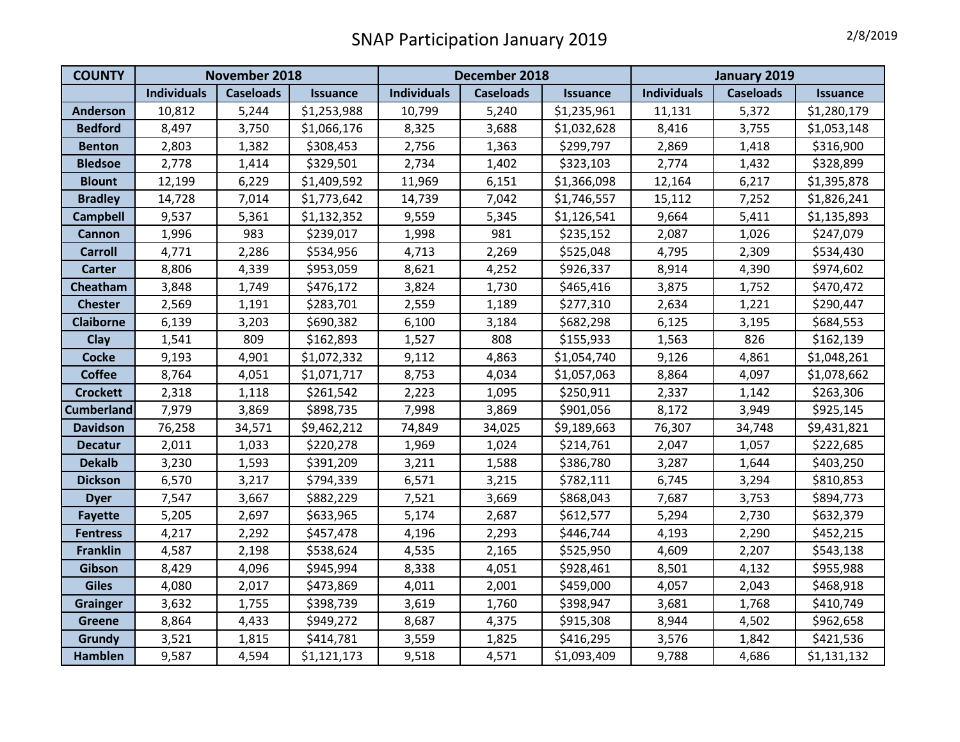## SNAP Participation January 2019 **2/8/2019**

| <b>COUNTY</b>     | November 2018      |                  |                 | December 2018      |                  |                 | January 2019       |                  |                 |
|-------------------|--------------------|------------------|-----------------|--------------------|------------------|-----------------|--------------------|------------------|-----------------|
|                   | <b>Individuals</b> | <b>Caseloads</b> | <b>Issuance</b> | <b>Individuals</b> | <b>Caseloads</b> | <b>Issuance</b> | <b>Individuals</b> | <b>Caseloads</b> | <b>Issuance</b> |
| <b>Anderson</b>   | 10,812             | 5,244            | \$1,253,988     | 10,799             | 5,240            | \$1,235,961     | 11,131             | 5,372            | \$1,280,179     |
| <b>Bedford</b>    | 8,497              | 3,750            | \$1,066,176     | 8,325              | 3,688            | \$1,032,628     | 8,416              | 3,755            | \$1,053,148     |
| <b>Benton</b>     | 2,803              | 1,382            | \$308,453       | 2,756              | 1,363            | \$299,797       | 2,869              | 1,418            | \$316,900       |
| <b>Bledsoe</b>    | 2,778              | 1,414            | \$329,501       | 2,734              | 1,402            | \$323,103       | 2,774              | 1,432            | \$328,899       |
| <b>Blount</b>     | 12,199             | 6,229            | \$1,409,592     | 11,969             | 6,151            | \$1,366,098     | 12,164             | 6,217            | \$1,395,878     |
| <b>Bradley</b>    | 14,728             | 7,014            | \$1,773,642     | 14,739             | 7,042            | \$1,746,557     | 15,112             | 7,252            | \$1,826,241     |
| <b>Campbell</b>   | 9,537              | 5,361            | \$1,132,352     | 9,559              | 5,345            | \$1,126,541     | 9,664              | 5,411            | \$1,135,893     |
| <b>Cannon</b>     | 1,996              | 983              | \$239,017       | 1,998              | 981              | \$235,152       | 2,087              | 1,026            | \$247,079       |
| <b>Carroll</b>    | 4,771              | 2,286            | \$534,956       | 4,713              | 2,269            | \$525,048       | 4,795              | 2,309            | \$534,430       |
| <b>Carter</b>     | 8,806              | 4,339            | \$953,059       | 8,621              | 4,252            | \$926,337       | 8,914              | 4,390            | \$974,602       |
| Cheatham          | 3,848              | 1,749            | \$476,172       | 3,824              | 1,730            | \$465,416       | 3,875              | 1,752            | \$470,472       |
| <b>Chester</b>    | 2,569              | 1,191            | \$283,701       | 2,559              | 1,189            | \$277,310       | 2,634              | 1,221            | \$290,447       |
| <b>Claiborne</b>  | 6,139              | 3,203            | \$690,382       | 6,100              | 3,184            | \$682,298       | 6,125              | 3,195            | \$684,553       |
| Clay              | 1,541              | 809              | \$162,893       | 1,527              | 808              | \$155,933       | 1,563              | 826              | \$162,139       |
| <b>Cocke</b>      | 9,193              | 4,901            | \$1,072,332     | 9,112              | 4,863            | \$1,054,740     | 9,126              | 4,861            | \$1,048,261     |
| <b>Coffee</b>     | 8,764              | 4,051            | \$1,071,717     | 8,753              | 4,034            | \$1,057,063     | 8,864              | 4,097            | \$1,078,662     |
| <b>Crockett</b>   | 2,318              | 1,118            | \$261,542       | 2,223              | 1,095            | \$250,911       | 2,337              | 1,142            | \$263,306       |
| <b>Cumberland</b> | 7,979              | 3,869            | \$898,735       | 7,998              | 3,869            | \$901,056       | 8,172              | 3,949            | \$925,145       |
| <b>Davidson</b>   | 76,258             | 34,571           | \$9,462,212     | 74,849             | 34,025           | \$9,189,663     | 76,307             | 34,748           | \$9,431,821     |
| <b>Decatur</b>    | 2,011              | 1,033            | \$220,278       | 1,969              | 1,024            | \$214,761       | 2,047              | 1,057            | \$222,685       |
| <b>Dekalb</b>     | 3,230              | 1,593            | \$391,209       | 3,211              | 1,588            | \$386,780       | 3,287              | 1,644            | \$403,250       |
| <b>Dickson</b>    | 6,570              | 3,217            | \$794,339       | 6,571              | 3,215            | \$782,111       | 6,745              | 3,294            | \$810,853       |
| <b>Dyer</b>       | 7,547              | 3,667            | \$882,229       | 7,521              | 3,669            | \$868,043       | 7,687              | 3,753            | \$894,773       |
| <b>Fayette</b>    | 5,205              | 2,697            | \$633,965       | 5,174              | 2,687            | \$612,577       | 5,294              | 2,730            | \$632,379       |
| <b>Fentress</b>   | 4,217              | 2,292            | \$457,478       | 4,196              | 2,293            | \$446,744       | 4,193              | 2,290            | \$452,215       |
| <b>Franklin</b>   | 4,587              | 2,198            | \$538,624       | 4,535              | 2,165            | \$525,950       | 4,609              | 2,207            | \$543,138       |
| Gibson            | 8,429              | 4,096            | \$945,994       | 8,338              | 4,051            | \$928,461       | 8,501              | 4,132            | \$955,988       |
| <b>Giles</b>      | 4,080              | 2,017            | \$473,869       | 4,011              | 2,001            | \$459,000       | 4,057              | 2,043            | \$468,918       |
| <b>Grainger</b>   | 3,632              | 1,755            | \$398,739       | 3,619              | 1,760            | \$398,947       | 3,681              | 1,768            | \$410,749       |
| <b>Greene</b>     | 8,864              | 4,433            | \$949,272       | 8,687              | 4,375            | \$915,308       | 8,944              | 4,502            | \$962,658       |
| Grundy            | 3,521              | 1,815            | \$414,781       | 3,559              | 1,825            | \$416,295       | 3,576              | 1,842            | \$421,536       |
| Hamblen           | 9,587              | 4,594            | \$1,121,173     | 9,518              | 4,571            | \$1,093,409     | 9,788              | 4,686            | \$1,131,132     |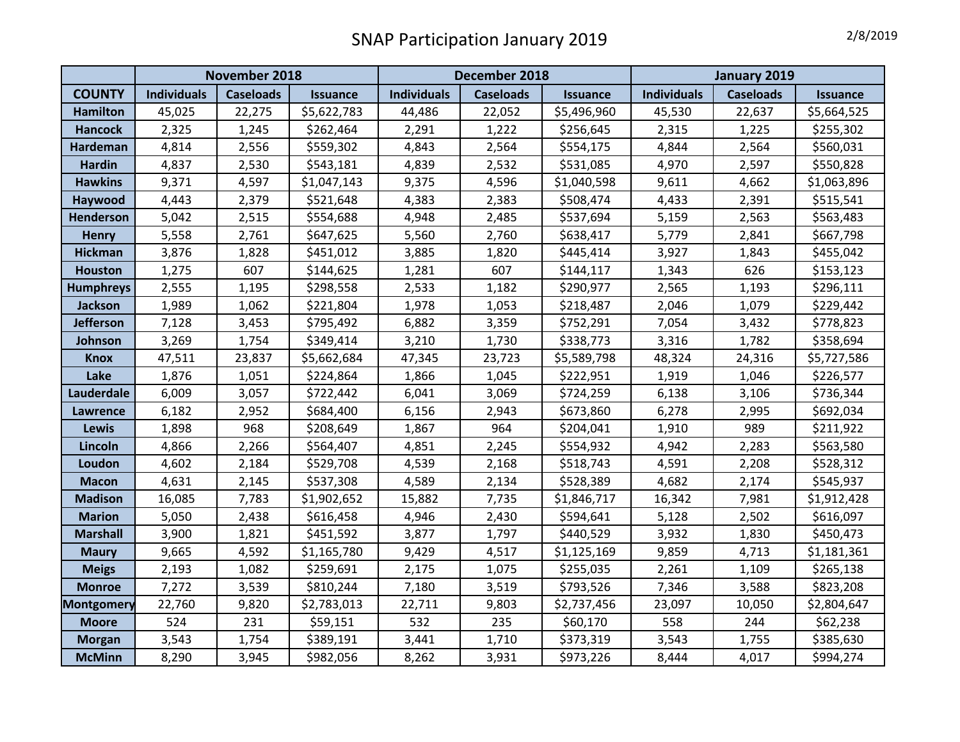## SNAP Participation January 2019

| 2/8/2019 |  |
|----------|--|
|----------|--|

|                   | November 2018      |                  |                 | December 2018      |                  |                 | January 2019                                              |        |             |
|-------------------|--------------------|------------------|-----------------|--------------------|------------------|-----------------|-----------------------------------------------------------|--------|-------------|
| <b>COUNTY</b>     | <b>Individuals</b> | <b>Caseloads</b> | <b>Issuance</b> | <b>Individuals</b> | <b>Caseloads</b> | <b>Issuance</b> | <b>Individuals</b><br><b>Caseloads</b><br><b>Issuance</b> |        |             |
| <b>Hamilton</b>   | 45,025             | 22,275           | \$5,622,783     | 44,486             | 22,052           | \$5,496,960     | 45,530                                                    | 22,637 | \$5,664,525 |
| <b>Hancock</b>    | 2,325              | 1,245            | \$262,464       | 2,291              | 1,222            | \$256,645       | 2,315                                                     | 1,225  | \$255,302   |
| <b>Hardeman</b>   | 4,814              | 2,556            | \$559,302       | 4,843              | 2,564            | \$554,175       | 4,844                                                     | 2,564  | \$560,031   |
| <b>Hardin</b>     | 4,837              | 2,530            | \$543,181       | 4,839              | 2,532            | \$531,085       | 4,970                                                     | 2,597  | \$550,828   |
| <b>Hawkins</b>    | 9,371              | 4,597            | \$1,047,143     | 9,375              | 4,596            | \$1,040,598     | 9,611                                                     | 4,662  | \$1,063,896 |
| Haywood           | 4,443              | 2,379            | \$521,648       | 4,383              | 2,383            | \$508,474       | 4,433                                                     | 2,391  | \$515,541   |
| <b>Henderson</b>  | 5,042              | 2,515            | \$554,688       | 4,948              | 2,485            | \$537,694       | 5,159                                                     | 2,563  | \$563,483   |
| <b>Henry</b>      | 5,558              | 2,761            | \$647,625       | 5,560              | 2,760            | \$638,417       | 5,779                                                     | 2,841  | \$667,798   |
| <b>Hickman</b>    | 3,876              | 1,828            | \$451,012       | 3,885              | 1,820            | \$445,414       | 3,927                                                     | 1,843  | \$455,042   |
| <b>Houston</b>    | 1,275              | 607              | \$144,625       | 1,281              | 607              | \$144,117       | 1,343                                                     | 626    | \$153,123   |
| <b>Humphreys</b>  | 2,555              | 1,195            | \$298,558       | 2,533              | 1,182            | \$290,977       | 2,565                                                     | 1,193  | \$296,111   |
| <b>Jackson</b>    | 1,989              | 1,062            | \$221,804       | 1,978              | 1,053            | \$218,487       | 2,046                                                     | 1,079  | \$229,442   |
| <b>Jefferson</b>  | 7,128              | 3,453            | \$795,492       | 6,882              | 3,359            | \$752,291       | 7,054                                                     | 3,432  | \$778,823   |
| Johnson           | 3,269              | 1,754            | \$349,414       | 3,210              | 1,730            | \$338,773       | 3,316                                                     | 1,782  | \$358,694   |
| <b>Knox</b>       | 47,511             | 23,837           | \$5,662,684     | 47,345             | 23,723           | \$5,589,798     | 48,324                                                    | 24,316 | \$5,727,586 |
| Lake              | 1,876              | 1,051            | \$224,864       | 1,866              | 1,045            | \$222,951       | 1,919                                                     | 1,046  | \$226,577   |
| Lauderdale        | 6,009              | 3,057            | \$722,442       | 6,041              | 3,069            | \$724,259       | 6,138                                                     | 3,106  | \$736,344   |
| <b>Lawrence</b>   | 6,182              | 2,952            | \$684,400       | 6,156              | 2,943            | \$673,860       | 6,278                                                     | 2,995  | \$692,034   |
| <b>Lewis</b>      | 1,898              | 968              | \$208,649       | 1,867              | 964              | \$204,041       | 1,910                                                     | 989    | \$211,922   |
| Lincoln           | 4,866              | 2,266            | \$564,407       | 4,851              | 2,245            | \$554,932       | 4,942                                                     | 2,283  | \$563,580   |
| Loudon            | 4,602              | 2,184            | \$529,708       | 4,539              | 2,168            | \$518,743       | 4,591                                                     | 2,208  | \$528,312   |
| <b>Macon</b>      | 4,631              | 2,145            | \$537,308       | 4,589              | 2,134            | \$528,389       | 4,682                                                     | 2,174  | \$545,937   |
| <b>Madison</b>    | 16,085             | 7,783            | \$1,902,652     | 15,882             | 7,735            | \$1,846,717     | 16,342                                                    | 7,981  | \$1,912,428 |
| <b>Marion</b>     | 5,050              | 2,438            | \$616,458       | 4,946              | 2,430            | \$594,641       | 5,128                                                     | 2,502  | \$616,097   |
| <b>Marshall</b>   | 3,900              | 1,821            | \$451,592       | 3,877              | 1,797            | \$440,529       | 3,932                                                     | 1,830  | \$450,473   |
| <b>Maury</b>      | 9,665              | 4,592            | \$1,165,780     | 9,429              | 4,517            | \$1,125,169     | 9,859                                                     | 4,713  | \$1,181,361 |
| <b>Meigs</b>      | 2,193              | 1,082            | \$259,691       | 2,175              | 1,075            | \$255,035       | 2,261                                                     | 1,109  | \$265,138   |
| <b>Monroe</b>     | 7,272              | 3,539            | \$810,244       | 7,180              | 3,519            | \$793,526       | 7,346                                                     | 3,588  | \$823,208   |
| <b>Montgomery</b> | 22,760             | 9,820            | \$2,783,013     | 22,711             | 9,803            | \$2,737,456     | 23,097                                                    | 10,050 | \$2,804,647 |
| <b>Moore</b>      | 524                | 231              | \$59,151        | 532                | 235              | \$60,170        | 558                                                       | 244    | \$62,238    |
| <b>Morgan</b>     | 3,543              | 1,754            | \$389,191       | 3,441              | 1,710            | \$373,319       | 3,543                                                     | 1,755  | \$385,630   |
| <b>McMinn</b>     | 8,290              | 3,945            | \$982,056       | 8,262              | 3,931            | \$973,226       | 8,444                                                     | 4,017  | \$994,274   |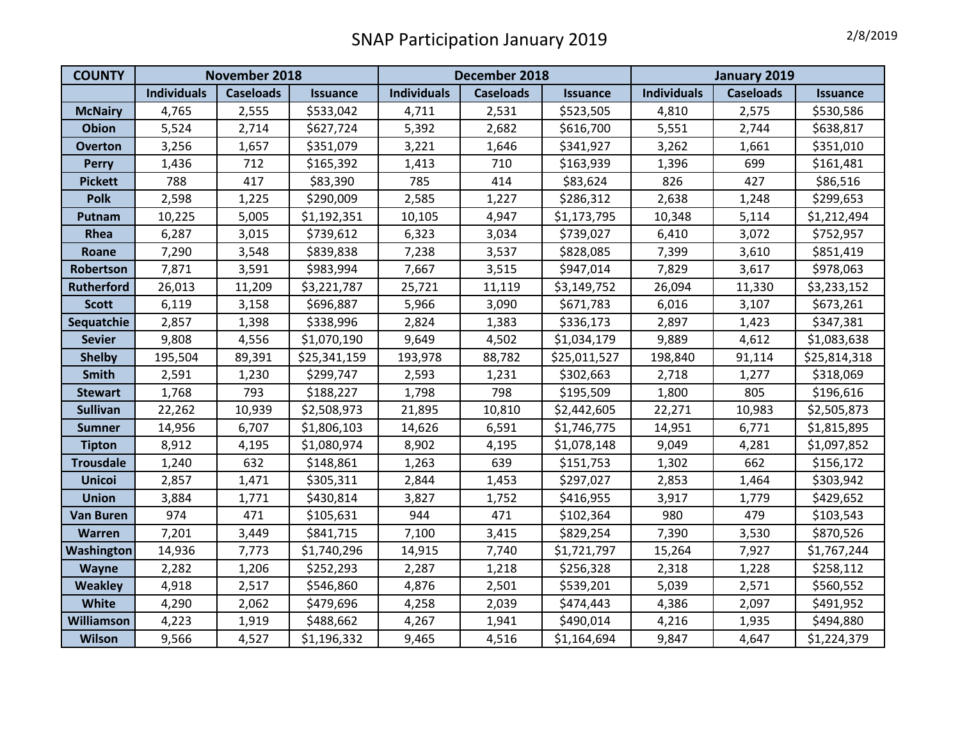## SNAP Participation January 2019 **2/8/2019**

| <b>COUNTY</b>     | November 2018      |                  |                 | December 2018      |                  |                 | January 2019                           |        |                 |
|-------------------|--------------------|------------------|-----------------|--------------------|------------------|-----------------|----------------------------------------|--------|-----------------|
|                   | <b>Individuals</b> | <b>Caseloads</b> | <b>Issuance</b> | <b>Individuals</b> | <b>Caseloads</b> | <b>Issuance</b> | <b>Individuals</b><br><b>Caseloads</b> |        | <b>Issuance</b> |
| <b>McNairy</b>    | 4,765              | 2,555            | \$533,042       | 4,711              | 2,531            | \$523,505       | 4,810                                  | 2,575  | \$530,586       |
| <b>Obion</b>      | 5,524              | 2,714            | \$627,724       | 5,392              | 2,682            | \$616,700       | 5,551                                  | 2,744  | \$638,817       |
| <b>Overton</b>    | 3,256              | 1,657            | \$351,079       | 3,221              | 1,646            | \$341,927       | 3,262                                  | 1,661  | \$351,010       |
| <b>Perry</b>      | 1,436              | 712              | \$165,392       | 1,413              | 710              | \$163,939       | 1,396                                  | 699    | \$161,481       |
| <b>Pickett</b>    | 788                | 417              | \$83,390        | 785                | 414              | \$83,624        | 826                                    | 427    | \$86,516        |
| <b>Polk</b>       | 2,598              | 1,225            | \$290,009       | 2,585              | 1,227            | \$286,312       | 2,638                                  | 1,248  | \$299,653       |
| Putnam            | 10,225             | 5,005            | \$1,192,351     | 10,105             | 4,947            | \$1,173,795     | 10,348                                 | 5,114  | \$1,212,494     |
| Rhea              | 6,287              | 3,015            | \$739,612       | 6,323              | 3,034            | \$739,027       | 6,410                                  | 3,072  | \$752,957       |
| Roane             | 7,290              | 3,548            | \$839,838       | 7,238              | 3,537            | \$828,085       | 7,399                                  | 3,610  | \$851,419       |
| Robertson         | 7,871              | 3,591            | \$983,994       | 7,667              | 3,515            | \$947,014       | 7,829                                  | 3,617  | \$978,063       |
| <b>Rutherford</b> | 26,013             | 11,209           | \$3,221,787     | 25,721             | 11,119           | \$3,149,752     | 26,094                                 | 11,330 | \$3,233,152     |
| <b>Scott</b>      | 6,119              | 3,158            | \$696,887       | 5,966              | 3,090            | \$671,783       | 6,016                                  | 3,107  | \$673,261       |
| Sequatchie        | 2,857              | 1,398            | \$338,996       | 2,824              | 1,383            | \$336,173       | 2,897                                  | 1,423  | \$347,381       |
| <b>Sevier</b>     | 9,808              | 4,556            | \$1,070,190     | 9,649              | 4,502            | \$1,034,179     | 9,889                                  | 4,612  | \$1,083,638     |
| <b>Shelby</b>     | 195,504            | 89,391           | \$25,341,159    | 193,978            | 88,782           | \$25,011,527    | 198,840                                | 91,114 | \$25,814,318    |
| <b>Smith</b>      | 2,591              | 1,230            | \$299,747       | 2,593              | 1,231            | \$302,663       | 2,718                                  | 1,277  | \$318,069       |
| <b>Stewart</b>    | 1,768              | 793              | \$188,227       | 1,798              | 798              | \$195,509       | 1,800                                  | 805    | \$196,616       |
| <b>Sullivan</b>   | 22,262             | 10,939           | \$2,508,973     | 21,895             | 10,810           | \$2,442,605     | 22,271                                 | 10,983 | \$2,505,873     |
| <b>Sumner</b>     | 14,956             | 6,707            | \$1,806,103     | 14,626             | 6,591            | \$1,746,775     | 14,951                                 | 6,771  | \$1,815,895     |
| <b>Tipton</b>     | 8,912              | 4,195            | \$1,080,974     | 8,902              | 4,195            | \$1,078,148     | 9,049                                  | 4,281  | \$1,097,852     |
| <b>Trousdale</b>  | 1,240              | 632              | \$148,861       | 1,263              | 639              | \$151,753       | 1,302                                  | 662    | \$156,172       |
| <b>Unicoi</b>     | 2,857              | 1,471            | \$305,311       | 2,844              | 1,453            | \$297,027       | 2,853                                  | 1,464  | \$303,942       |
| <b>Union</b>      | 3,884              | 1,771            | \$430,814       | 3,827              | 1,752            | \$416,955       | 3,917                                  | 1,779  | \$429,652       |
| <b>Van Buren</b>  | 974                | 471              | \$105,631       | 944                | 471              | \$102,364       | 980                                    | 479    | \$103,543       |
| Warren            | 7,201              | 3,449            | \$841,715       | 7,100              | 3,415            | \$829,254       | 7,390                                  | 3,530  | \$870,526       |
| Washington        | 14,936             | 7,773            | \$1,740,296     | 14,915             | 7,740            | \$1,721,797     | 15,264                                 | 7,927  | \$1,767,244     |
| Wayne             | 2,282              | 1,206            | \$252,293       | 2,287              | 1,218            | \$256,328       | 2,318                                  | 1,228  | \$258,112       |
| <b>Weakley</b>    | 4,918              | 2,517            | \$546,860       | 4,876              | 2,501            | \$539,201       | 5,039                                  | 2,571  | \$560,552       |
| White             | 4,290              | 2,062            | \$479,696       | 4,258              | 2,039            | \$474,443       | 4,386                                  | 2,097  | \$491,952       |
| Williamson        | 4,223              | 1,919            | \$488,662       | 4,267              | 1,941            | \$490,014       | 4,216                                  | 1,935  | \$494,880       |
| <b>Wilson</b>     | 9,566              | 4,527            | \$1,196,332     | 9,465              | 4,516            | \$1,164,694     | 9,847                                  | 4,647  | \$1,224,379     |